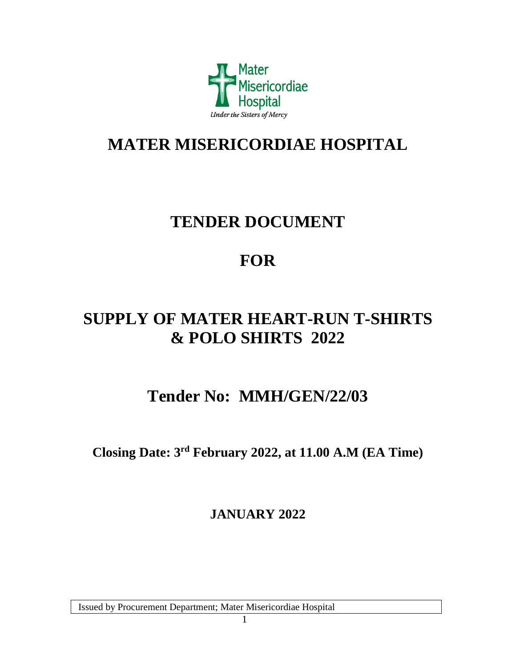

# **MATER MISERICORDIAE HOSPITAL**

# **TENDER DOCUMENT**

# **FOR**

# **SUPPLY OF MATER HEART-RUN T-SHIRTS & POLO SHIRTS 2022**

# **Tender No: MMH/GEN/22/03**

**Closing Date: 3 rd February 2022, at 11.00 A.M (EA Time)**

**JANUARY 2022**

Issued by Procurement Department; Mater Misericordiae Hospital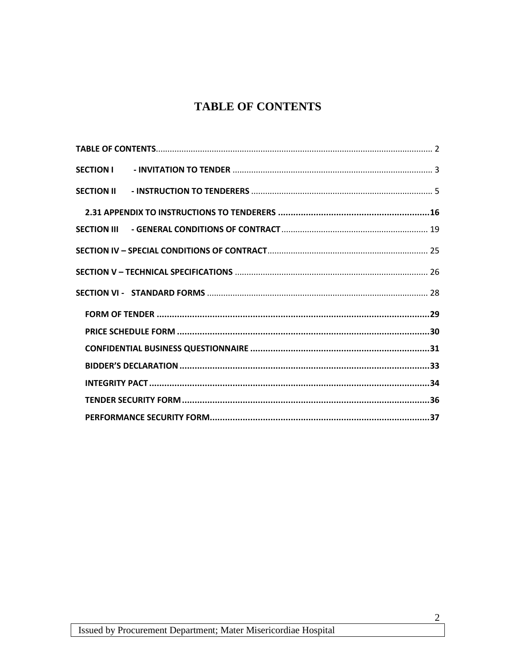# **TABLE OF CONTENTS**

<span id="page-1-0"></span>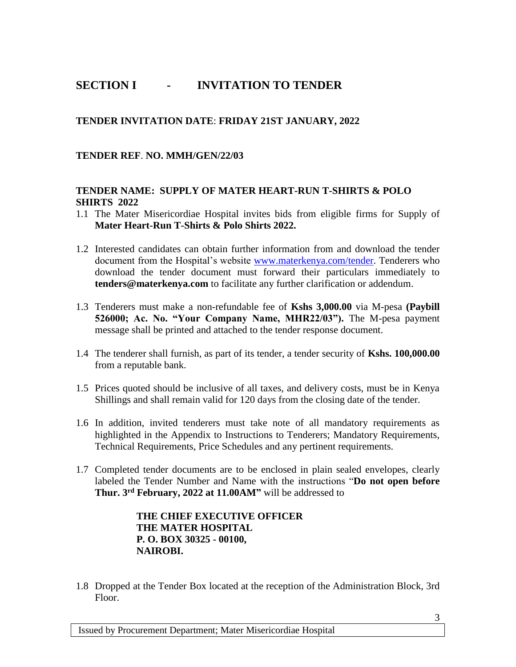## <span id="page-2-0"></span>**SECTION I - INVITATION TO TENDER**

### **TENDER INVITATION DATE**: **FRIDAY 21ST JANUARY, 2022**

**TENDER REF**. **NO. MMH/GEN/22/03**

### **TENDER NAME: SUPPLY OF MATER HEART-RUN T-SHIRTS & POLO SHIRTS 2022**

- 1.1 The Mater Misericordiae Hospital invites bids from eligible firms for Supply of **Mater Heart-Run T-Shirts & Polo Shirts 2022.**
- 1.2 Interested candidates can obtain further information from and download the tender document from the Hospital's website [www.materkenya.com/tender.](http://www.materkenya.com/tender) Tenderers who download the tender document must forward their particulars immediately to **[tenders@materkenya.com](mailto:tenders@materkenya.comt)** to facilitate any further clarification or addendum.
- 1.3 Tenderers must make a non-refundable fee of **Kshs 3,000.00** via M-pesa **(Paybill 526000; Ac. No. "Your Company Name, MHR22/03").** The M-pesa payment message shall be printed and attached to the tender response document.
- 1.4 The tenderer shall furnish, as part of its tender, a tender security of **Kshs. 100,000.00** from a reputable bank.
- 1.5 Prices quoted should be inclusive of all taxes, and delivery costs, must be in Kenya Shillings and shall remain valid for 120 days from the closing date of the tender.
- 1.6 In addition, invited tenderers must take note of all mandatory requirements as highlighted in the Appendix to Instructions to Tenderers; Mandatory Requirements, Technical Requirements, Price Schedules and any pertinent requirements.
- 1.7 Completed tender documents are to be enclosed in plain sealed envelopes, clearly labeled the Tender Number and Name with the instructions "**Do not open before Thur. 3rd February, 2022 at 11.00AM"** will be addressed to

### **THE CHIEF EXECUTIVE OFFICER THE MATER HOSPITAL P. O. BOX 30325 - 00100, NAIROBI.**

1.8 Dropped at the Tender Box located at the reception of the Administration Block, 3rd Floor.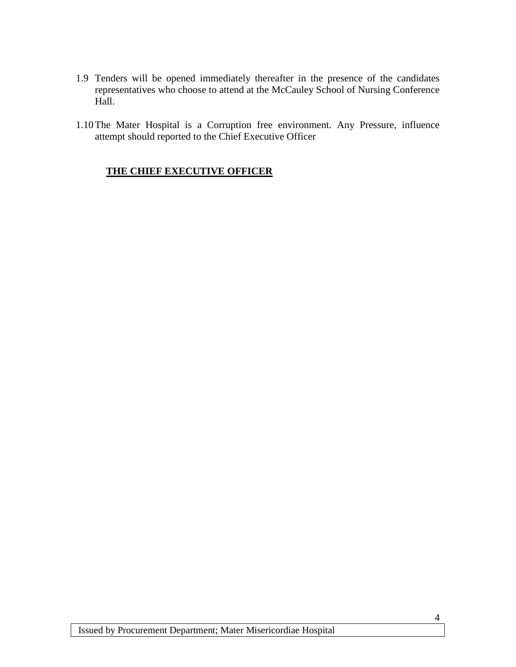- 1.9 Tenders will be opened immediately thereafter in the presence of the candidates representatives who choose to attend at the McCauley School of Nursing Conference Hall.
- 1.10The Mater Hospital is a Corruption free environment. Any Pressure, influence attempt should reported to the Chief Executive Officer

### **THE CHIEF EXECUTIVE OFFICER**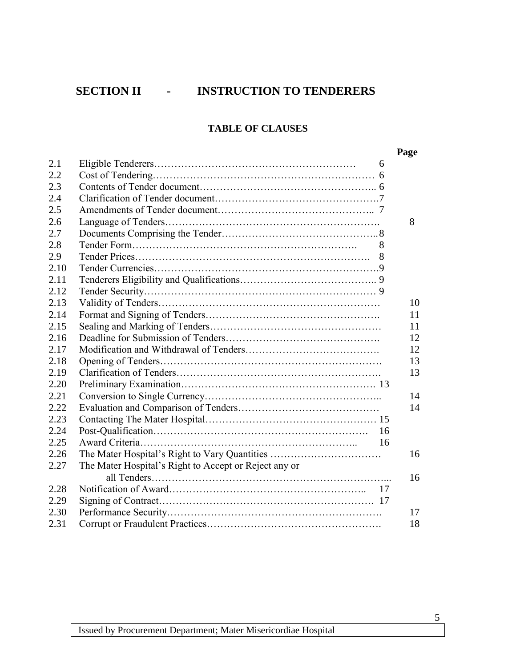# <span id="page-4-0"></span>**SECTION II - INSTRUCTION TO TENDERERS**

### **TABLE OF CLAUSES**

|      |                                                       | Page |
|------|-------------------------------------------------------|------|
| 2.1  | 6                                                     |      |
| 2.2  |                                                       |      |
| 2.3  |                                                       |      |
| 2.4  |                                                       |      |
| 2.5  |                                                       |      |
| 2.6  |                                                       | 8    |
| 2.7  |                                                       |      |
| 2.8  | 8                                                     |      |
| 2.9  |                                                       |      |
| 2.10 |                                                       |      |
| 2.11 |                                                       |      |
| 2.12 |                                                       |      |
| 2.13 |                                                       | 10   |
| 2.14 |                                                       | 11   |
| 2.15 |                                                       | 11   |
| 2.16 |                                                       | 12   |
| 2.17 |                                                       | 12   |
| 2.18 |                                                       | 13   |
| 2.19 |                                                       | 13   |
| 2.20 |                                                       |      |
| 2.21 |                                                       | 14   |
| 2.22 |                                                       | 14   |
| 2.23 |                                                       |      |
| 2.24 | 16                                                    |      |
| 2.25 | 16                                                    |      |
| 2.26 | The Mater Hospital's Right to Vary Quantities         | 16   |
| 2.27 | The Mater Hospital's Right to Accept or Reject any or |      |
|      |                                                       | 16   |
| 2.28 |                                                       |      |
| 2.29 |                                                       |      |
| 2.30 |                                                       | 17   |
| 2.31 |                                                       | 18   |

5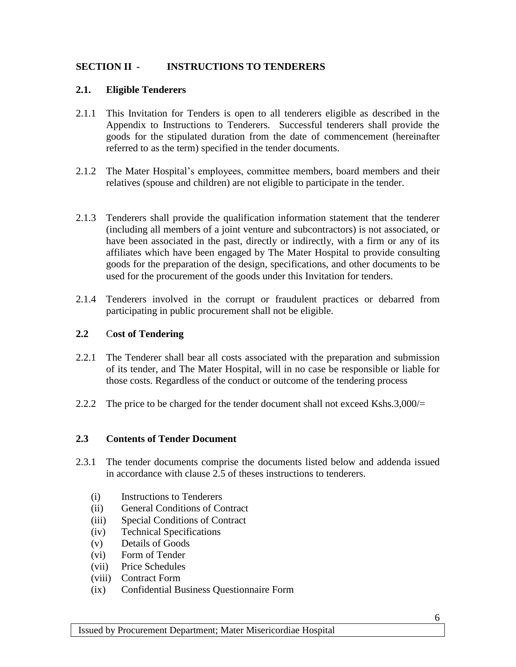### **SECTION II - INSTRUCTIONS TO TENDERERS**

### **2.1. Eligible Tenderers**

- 2.1.1 This Invitation for Tenders is open to all tenderers eligible as described in the Appendix to Instructions to Tenderers. Successful tenderers shall provide the goods for the stipulated duration from the date of commencement (hereinafter referred to as the term) specified in the tender documents.
- 2.1.2 The Mater Hospital's employees, committee members, board members and their relatives (spouse and children) are not eligible to participate in the tender.
- 2.1.3 Tenderers shall provide the qualification information statement that the tenderer (including all members of a joint venture and subcontractors) is not associated, or have been associated in the past, directly or indirectly, with a firm or any of its affiliates which have been engaged by The Mater Hospital to provide consulting goods for the preparation of the design, specifications, and other documents to be used for the procurement of the goods under this Invitation for tenders.
- 2.1.4 Tenderers involved in the corrupt or fraudulent practices or debarred from participating in public procurement shall not be eligible.

### **2.2** C**ost of Tendering**

- 2.2.1 The Tenderer shall bear all costs associated with the preparation and submission of its tender, and The Mater Hospital, will in no case be responsible or liable for those costs. Regardless of the conduct or outcome of the tendering process
- 2.2.2 The price to be charged for the tender document shall not exceed Kshs.3,000/ $=$

### **2.3 Contents of Tender Document**

- 2.3.1 The tender documents comprise the documents listed below and addenda issued in accordance with clause 2.5 of theses instructions to tenderers.
	- (i) Instructions to Tenderers
	- (ii) General Conditions of Contract
	- (iii) Special Conditions of Contract
	- (iv) Technical Specifications
	- (v) Details of Goods
	- (vi) Form of Tender
	- (vii) Price Schedules
	- (viii) Contract Form
	- (ix) Confidential Business Questionnaire Form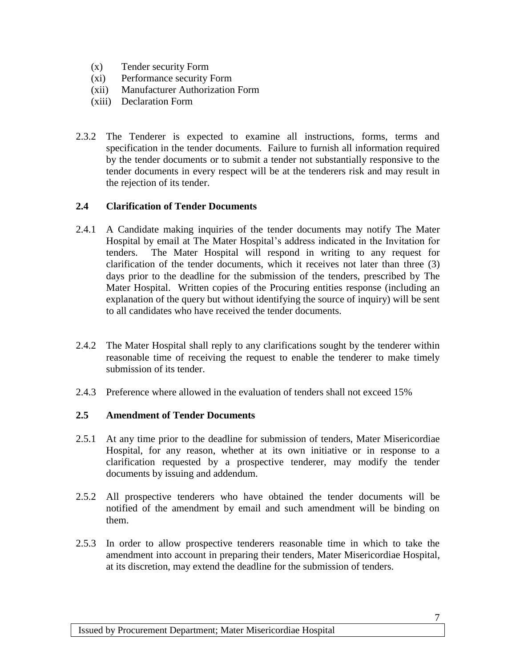- (x) Tender security Form
- (xi) Performance security Form
- (xii) Manufacturer Authorization Form
- (xiii) Declaration Form
- 2.3.2 The Tenderer is expected to examine all instructions, forms, terms and specification in the tender documents. Failure to furnish all information required by the tender documents or to submit a tender not substantially responsive to the tender documents in every respect will be at the tenderers risk and may result in the rejection of its tender.

### **2.4 Clarification of Tender Documents**

- 2.4.1 A Candidate making inquiries of the tender documents may notify The Mater Hospital by email at The Mater Hospital's address indicated in the Invitation for tenders. The Mater Hospital will respond in writing to any request for clarification of the tender documents, which it receives not later than three (3) days prior to the deadline for the submission of the tenders, prescribed by The Mater Hospital. Written copies of the Procuring entities response (including an explanation of the query but without identifying the source of inquiry) will be sent to all candidates who have received the tender documents.
- 2.4.2 The Mater Hospital shall reply to any clarifications sought by the tenderer within reasonable time of receiving the request to enable the tenderer to make timely submission of its tender.
- 2.4.3 Preference where allowed in the evaluation of tenders shall not exceed 15%

### **2.5 Amendment of Tender Documents**

- 2.5.1 At any time prior to the deadline for submission of tenders, Mater Misericordiae Hospital, for any reason, whether at its own initiative or in response to a clarification requested by a prospective tenderer, may modify the tender documents by issuing and addendum.
- 2.5.2 All prospective tenderers who have obtained the tender documents will be notified of the amendment by email and such amendment will be binding on them.
- 2.5.3 In order to allow prospective tenderers reasonable time in which to take the amendment into account in preparing their tenders, Mater Misericordiae Hospital, at its discretion, may extend the deadline for the submission of tenders.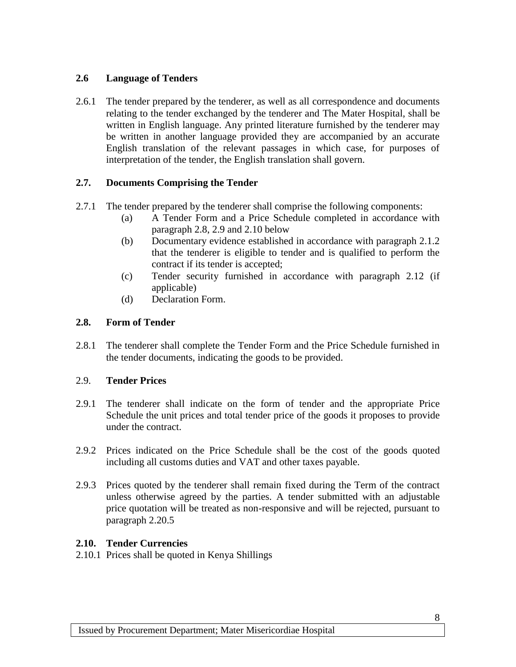### **2.6 Language of Tenders**

2.6.1 The tender prepared by the tenderer, as well as all correspondence and documents relating to the tender exchanged by the tenderer and The Mater Hospital, shall be written in English language. Any printed literature furnished by the tenderer may be written in another language provided they are accompanied by an accurate English translation of the relevant passages in which case, for purposes of interpretation of the tender, the English translation shall govern.

### **2.7. Documents Comprising the Tender**

- 2.7.1 The tender prepared by the tenderer shall comprise the following components:
	- (a) A Tender Form and a Price Schedule completed in accordance with paragraph 2.8, 2.9 and 2.10 below
	- (b) Documentary evidence established in accordance with paragraph 2.1.2 that the tenderer is eligible to tender and is qualified to perform the contract if its tender is accepted;
	- (c) Tender security furnished in accordance with paragraph 2.12 (if applicable)
	- (d) Declaration Form.

### **2.8. Form of Tender**

2.8.1 The tenderer shall complete the Tender Form and the Price Schedule furnished in the tender documents, indicating the goods to be provided.

### 2.9. **Tender Prices**

- 2.9.1 The tenderer shall indicate on the form of tender and the appropriate Price Schedule the unit prices and total tender price of the goods it proposes to provide under the contract.
- 2.9.2 Prices indicated on the Price Schedule shall be the cost of the goods quoted including all customs duties and VAT and other taxes payable.
- 2.9.3 Prices quoted by the tenderer shall remain fixed during the Term of the contract unless otherwise agreed by the parties. A tender submitted with an adjustable price quotation will be treated as non-responsive and will be rejected, pursuant to paragraph 2.20.5

### **2.10. Tender Currencies**

2.10.1 Prices shall be quoted in Kenya Shillings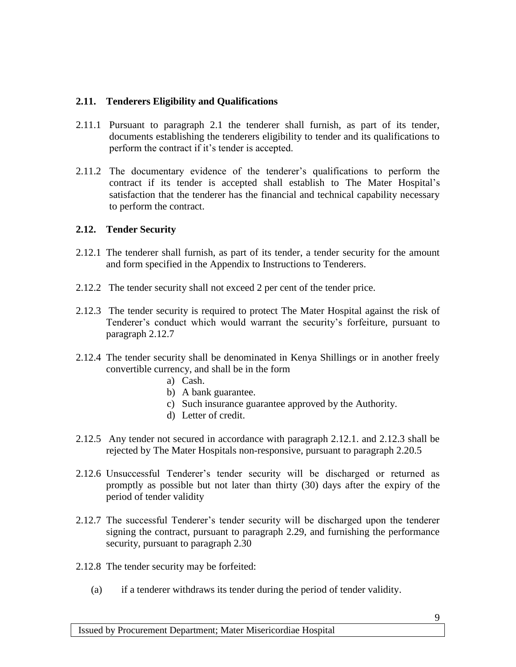### **2.11. Tenderers Eligibility and Qualifications**

- 2.11.1 Pursuant to paragraph 2.1 the tenderer shall furnish, as part of its tender, documents establishing the tenderers eligibility to tender and its qualifications to perform the contract if it's tender is accepted.
- 2.11.2 The documentary evidence of the tenderer's qualifications to perform the contract if its tender is accepted shall establish to The Mater Hospital's satisfaction that the tenderer has the financial and technical capability necessary to perform the contract.

### **2.12. Tender Security**

- 2.12.1 The tenderer shall furnish, as part of its tender, a tender security for the amount and form specified in the Appendix to Instructions to Tenderers.
- 2.12.2 The tender security shall not exceed 2 per cent of the tender price.
- 2.12.3 The tender security is required to protect The Mater Hospital against the risk of Tenderer's conduct which would warrant the security's forfeiture, pursuant to paragraph 2.12.7
- 2.12.4 The tender security shall be denominated in Kenya Shillings or in another freely convertible currency, and shall be in the form
	- a) Cash.
	- b) A bank guarantee.
	- c) Such insurance guarantee approved by the Authority.
	- d) Letter of credit.
- 2.12.5 Any tender not secured in accordance with paragraph 2.12.1. and 2.12.3 shall be rejected by The Mater Hospitals non-responsive, pursuant to paragraph 2.20.5
- 2.12.6 Unsuccessful Tenderer's tender security will be discharged or returned as promptly as possible but not later than thirty (30) days after the expiry of the period of tender validity
- 2.12.7 The successful Tenderer's tender security will be discharged upon the tenderer signing the contract, pursuant to paragraph 2.29, and furnishing the performance security, pursuant to paragraph 2.30
- 2.12.8 The tender security may be forfeited:
	- (a) if a tenderer withdraws its tender during the period of tender validity.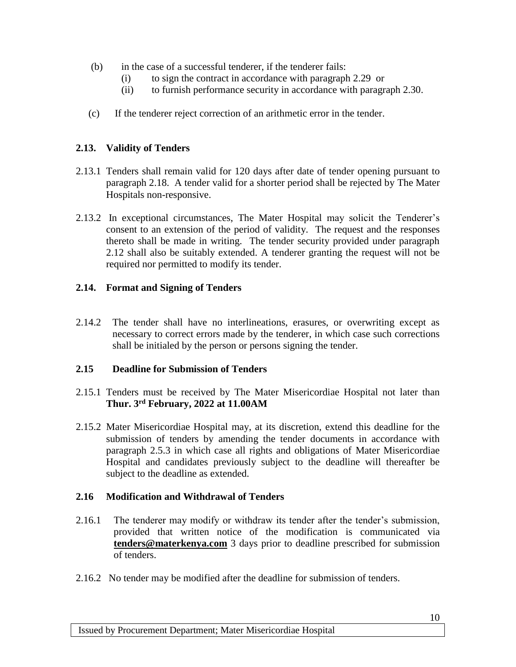- (b) in the case of a successful tenderer, if the tenderer fails:
	- (i) to sign the contract in accordance with paragraph 2.29 or
	- (ii) to furnish performance security in accordance with paragraph 2.30.
- (c) If the tenderer reject correction of an arithmetic error in the tender.

### **2.13. Validity of Tenders**

- 2.13.1 Tenders shall remain valid for 120 days after date of tender opening pursuant to paragraph 2.18. A tender valid for a shorter period shall be rejected by The Mater Hospitals non-responsive.
- 2.13.2 In exceptional circumstances, The Mater Hospital may solicit the Tenderer's consent to an extension of the period of validity. The request and the responses thereto shall be made in writing. The tender security provided under paragraph 2.12 shall also be suitably extended. A tenderer granting the request will not be required nor permitted to modify its tender.

### **2.14. Format and Signing of Tenders**

2.14.2 The tender shall have no interlineations, erasures, or overwriting except as necessary to correct errors made by the tenderer, in which case such corrections shall be initialed by the person or persons signing the tender.

### **2.15 Deadline for Submission of Tenders**

- 2.15.1 Tenders must be received by The Mater Misericordiae Hospital not later than **Thur. 3rd February, 2022 at 11.00AM**
- 2.15.2 Mater Misericordiae Hospital may, at its discretion, extend this deadline for the submission of tenders by amending the tender documents in accordance with paragraph 2.5.3 in which case all rights and obligations of Mater Misericordiae Hospital and candidates previously subject to the deadline will thereafter be subject to the deadline as extended.

### **2.16 Modification and Withdrawal of Tenders**

- 2.16.1 The tenderer may modify or withdraw its tender after the tender's submission, provided that written notice of the modification is communicated via **[tenders@materkenya.com](mailto:tenders@materkenya.comt)** 3 days prior to deadline prescribed for submission of tenders.
- 2.16.2 No tender may be modified after the deadline for submission of tenders.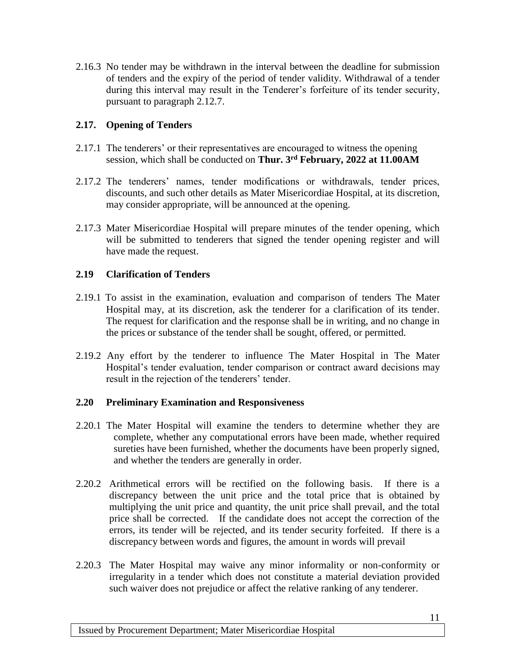2.16.3 No tender may be withdrawn in the interval between the deadline for submission of tenders and the expiry of the period of tender validity. Withdrawal of a tender during this interval may result in the Tenderer's forfeiture of its tender security, pursuant to paragraph 2.12.7.

### **2.17. Opening of Tenders**

- 2.17.1 The tenderers' or their representatives are encouraged to witness the opening session, which shall be conducted on **Thur. 3rd February, 2022 at 11.00AM**
- 2.17.2 The tenderers' names, tender modifications or withdrawals, tender prices, discounts, and such other details as Mater Misericordiae Hospital, at its discretion, may consider appropriate, will be announced at the opening.
- 2.17.3 Mater Misericordiae Hospital will prepare minutes of the tender opening, which will be submitted to tenderers that signed the tender opening register and will have made the request.

### **2.19 Clarification of Tenders**

- 2.19.1 To assist in the examination, evaluation and comparison of tenders The Mater Hospital may, at its discretion, ask the tenderer for a clarification of its tender. The request for clarification and the response shall be in writing, and no change in the prices or substance of the tender shall be sought, offered, or permitted.
- 2.19.2 Any effort by the tenderer to influence The Mater Hospital in The Mater Hospital's tender evaluation, tender comparison or contract award decisions may result in the rejection of the tenderers' tender.

### **2.20 Preliminary Examination and Responsiveness**

- 2.20.1 The Mater Hospital will examine the tenders to determine whether they are complete, whether any computational errors have been made, whether required sureties have been furnished, whether the documents have been properly signed, and whether the tenders are generally in order.
- 2.20.2 Arithmetical errors will be rectified on the following basis. If there is a discrepancy between the unit price and the total price that is obtained by multiplying the unit price and quantity, the unit price shall prevail, and the total price shall be corrected. If the candidate does not accept the correction of the errors, its tender will be rejected, and its tender security forfeited. If there is a discrepancy between words and figures, the amount in words will prevail
- 2.20.3 The Mater Hospital may waive any minor informality or non-conformity or irregularity in a tender which does not constitute a material deviation provided such waiver does not prejudice or affect the relative ranking of any tenderer.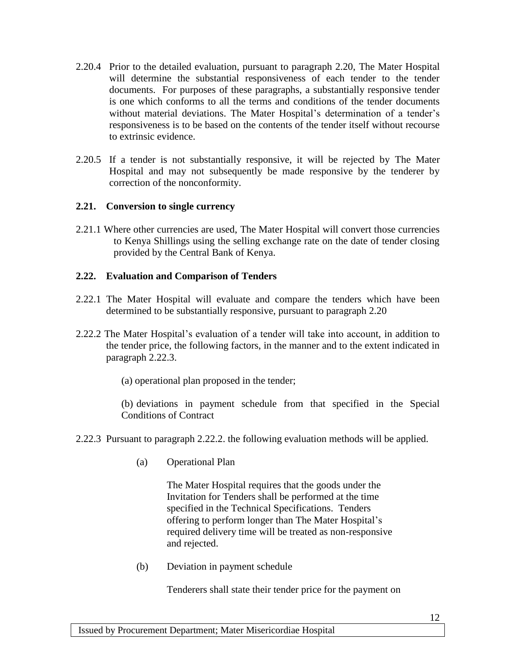- 2.20.4 Prior to the detailed evaluation, pursuant to paragraph 2.20, The Mater Hospital will determine the substantial responsiveness of each tender to the tender documents. For purposes of these paragraphs, a substantially responsive tender is one which conforms to all the terms and conditions of the tender documents without material deviations. The Mater Hospital's determination of a tender's responsiveness is to be based on the contents of the tender itself without recourse to extrinsic evidence.
- 2.20.5 If a tender is not substantially responsive, it will be rejected by The Mater Hospital and may not subsequently be made responsive by the tenderer by correction of the nonconformity.

### **2.21. Conversion to single currency**

2.21.1 Where other currencies are used, The Mater Hospital will convert those currencies to Kenya Shillings using the selling exchange rate on the date of tender closing provided by the Central Bank of Kenya.

### **2.22. Evaluation and Comparison of Tenders**

- 2.22.1 The Mater Hospital will evaluate and compare the tenders which have been determined to be substantially responsive, pursuant to paragraph 2.20
- 2.22.2 The Mater Hospital's evaluation of a tender will take into account, in addition to the tender price, the following factors, in the manner and to the extent indicated in paragraph 2.22.3.
	- (a) operational plan proposed in the tender;

(b) deviations in payment schedule from that specified in the Special Conditions of Contract

- 2.22.3 Pursuant to paragraph 2.22.2. the following evaluation methods will be applied.
	- (a) Operational Plan

The Mater Hospital requires that the goods under the Invitation for Tenders shall be performed at the time specified in the Technical Specifications. Tenders offering to perform longer than The Mater Hospital's required delivery time will be treated as non-responsive and rejected.

(b) Deviation in payment schedule

Tenderers shall state their tender price for the payment on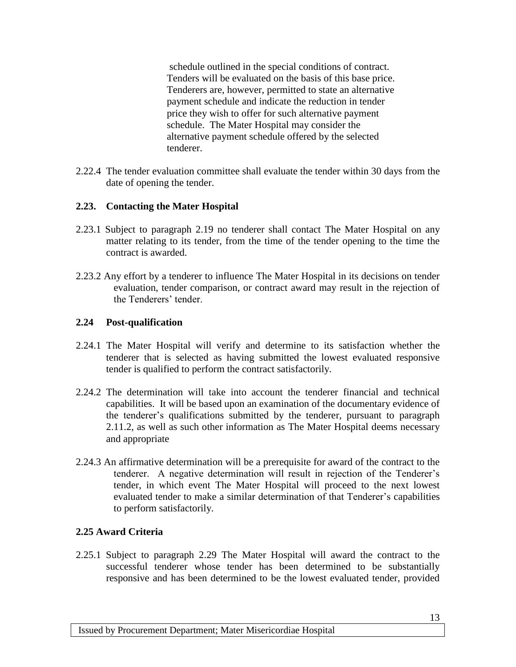schedule outlined in the special conditions of contract. Tenders will be evaluated on the basis of this base price. Tenderers are, however, permitted to state an alternative payment schedule and indicate the reduction in tender price they wish to offer for such alternative payment schedule. The Mater Hospital may consider the alternative payment schedule offered by the selected tenderer.

2.22.4 The tender evaluation committee shall evaluate the tender within 30 days from the date of opening the tender.

### **2.23. Contacting the Mater Hospital**

- 2.23.1 Subject to paragraph 2.19 no tenderer shall contact The Mater Hospital on any matter relating to its tender, from the time of the tender opening to the time the contract is awarded.
- 2.23.2 Any effort by a tenderer to influence The Mater Hospital in its decisions on tender evaluation, tender comparison, or contract award may result in the rejection of the Tenderers' tender.

### **2.24 Post-qualification**

- 2.24.1 The Mater Hospital will verify and determine to its satisfaction whether the tenderer that is selected as having submitted the lowest evaluated responsive tender is qualified to perform the contract satisfactorily.
- 2.24.2 The determination will take into account the tenderer financial and technical capabilities. It will be based upon an examination of the documentary evidence of the tenderer's qualifications submitted by the tenderer, pursuant to paragraph 2.11.2, as well as such other information as The Mater Hospital deems necessary and appropriate
- 2.24.3 An affirmative determination will be a prerequisite for award of the contract to the tenderer. A negative determination will result in rejection of the Tenderer's tender, in which event The Mater Hospital will proceed to the next lowest evaluated tender to make a similar determination of that Tenderer's capabilities to perform satisfactorily.

### **2.25 Award Criteria**

2.25.1 Subject to paragraph 2.29 The Mater Hospital will award the contract to the successful tenderer whose tender has been determined to be substantially responsive and has been determined to be the lowest evaluated tender, provided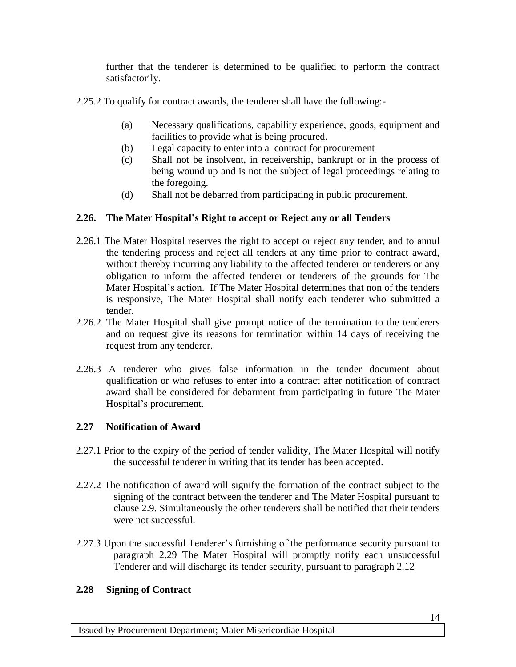further that the tenderer is determined to be qualified to perform the contract satisfactorily.

- 2.25.2 To qualify for contract awards, the tenderer shall have the following:-
	- (a) Necessary qualifications, capability experience, goods, equipment and facilities to provide what is being procured.
	- (b) Legal capacity to enter into a contract for procurement
	- (c) Shall not be insolvent, in receivership, bankrupt or in the process of being wound up and is not the subject of legal proceedings relating to the foregoing.
	- (d) Shall not be debarred from participating in public procurement.

### **2.26. The Mater Hospital's Right to accept or Reject any or all Tenders**

- 2.26.1 The Mater Hospital reserves the right to accept or reject any tender, and to annul the tendering process and reject all tenders at any time prior to contract award, without thereby incurring any liability to the affected tenderer or tenderers or any obligation to inform the affected tenderer or tenderers of the grounds for The Mater Hospital's action. If The Mater Hospital determines that non of the tenders is responsive, The Mater Hospital shall notify each tenderer who submitted a tender.
- 2.26.2 The Mater Hospital shall give prompt notice of the termination to the tenderers and on request give its reasons for termination within 14 days of receiving the request from any tenderer.
- 2.26.3 A tenderer who gives false information in the tender document about qualification or who refuses to enter into a contract after notification of contract award shall be considered for debarment from participating in future The Mater Hospital's procurement.

### **2.27 Notification of Award**

- 2.27.1 Prior to the expiry of the period of tender validity, The Mater Hospital will notify the successful tenderer in writing that its tender has been accepted.
- 2.27.2 The notification of award will signify the formation of the contract subject to the signing of the contract between the tenderer and The Mater Hospital pursuant to clause 2.9. Simultaneously the other tenderers shall be notified that their tenders were not successful.
- 2.27.3 Upon the successful Tenderer's furnishing of the performance security pursuant to paragraph 2.29 The Mater Hospital will promptly notify each unsuccessful Tenderer and will discharge its tender security, pursuant to paragraph 2.12

### **2.28 Signing of Contract**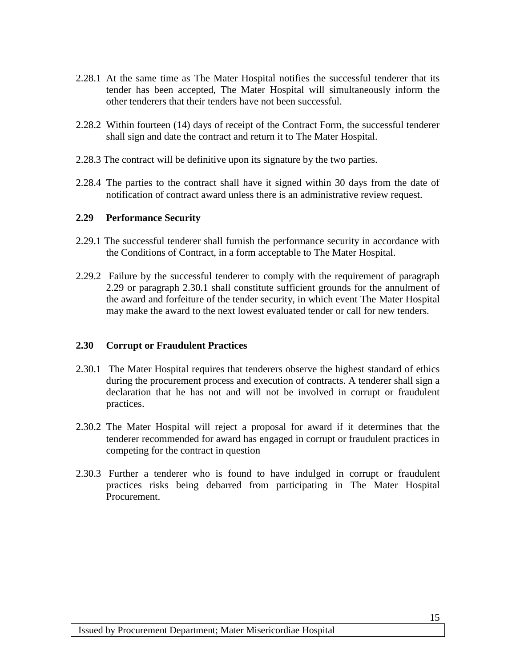- 2.28.1 At the same time as The Mater Hospital notifies the successful tenderer that its tender has been accepted, The Mater Hospital will simultaneously inform the other tenderers that their tenders have not been successful.
- 2.28.2 Within fourteen (14) days of receipt of the Contract Form, the successful tenderer shall sign and date the contract and return it to The Mater Hospital.
- 2.28.3 The contract will be definitive upon its signature by the two parties.
- 2.28.4 The parties to the contract shall have it signed within 30 days from the date of notification of contract award unless there is an administrative review request.

### **2.29 Performance Security**

- 2.29.1 The successful tenderer shall furnish the performance security in accordance with the Conditions of Contract, in a form acceptable to The Mater Hospital.
- 2.29.2 Failure by the successful tenderer to comply with the requirement of paragraph 2.29 or paragraph 2.30.1 shall constitute sufficient grounds for the annulment of the award and forfeiture of the tender security, in which event The Mater Hospital may make the award to the next lowest evaluated tender or call for new tenders.

### **2.30 Corrupt or Fraudulent Practices**

- 2.30.1 The Mater Hospital requires that tenderers observe the highest standard of ethics during the procurement process and execution of contracts. A tenderer shall sign a declaration that he has not and will not be involved in corrupt or fraudulent practices.
- 2.30.2 The Mater Hospital will reject a proposal for award if it determines that the tenderer recommended for award has engaged in corrupt or fraudulent practices in competing for the contract in question
- 2.30.3 Further a tenderer who is found to have indulged in corrupt or fraudulent practices risks being debarred from participating in The Mater Hospital Procurement.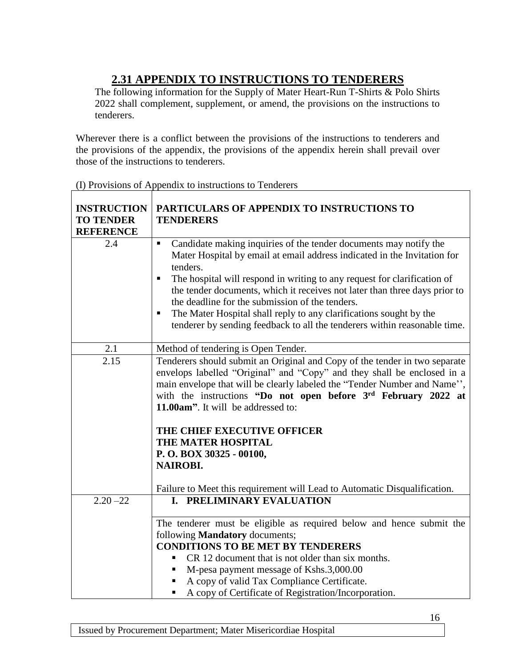# **2.31 APPENDIX TO INSTRUCTIONS TO TENDERERS**

<span id="page-15-0"></span>The following information for the Supply of Mater Heart-Run T-Shirts & Polo Shirts 2022 shall complement, supplement, or amend, the provisions on the instructions to tenderers.

Wherever there is a conflict between the provisions of the instructions to tenderers and the provisions of the appendix, the provisions of the appendix herein shall prevail over those of the instructions to tenderers.

| <b>INSTRUCTION</b><br><b>TO TENDER</b><br><b>REFERENCE</b> | PARTICULARS OF APPENDIX TO INSTRUCTIONS TO<br><b>TENDERERS</b>                                                                                                                                                                                                                                                                                                                                                                                                                                                                                                     |
|------------------------------------------------------------|--------------------------------------------------------------------------------------------------------------------------------------------------------------------------------------------------------------------------------------------------------------------------------------------------------------------------------------------------------------------------------------------------------------------------------------------------------------------------------------------------------------------------------------------------------------------|
| 2.4                                                        | Candidate making inquiries of the tender documents may notify the<br>$\blacksquare$<br>Mater Hospital by email at email address indicated in the Invitation for<br>tenders.<br>The hospital will respond in writing to any request for clarification of<br>$\blacksquare$<br>the tender documents, which it receives not later than three days prior to<br>the deadline for the submission of the tenders.<br>The Mater Hospital shall reply to any clarifications sought by the<br>٠<br>tenderer by sending feedback to all the tenderers within reasonable time. |
| 2.1                                                        | Method of tendering is Open Tender.                                                                                                                                                                                                                                                                                                                                                                                                                                                                                                                                |
| 2.15                                                       | Tenderers should submit an Original and Copy of the tender in two separate<br>envelops labelled "Original" and "Copy" and they shall be enclosed in a<br>main envelope that will be clearly labeled the "Tender Number and Name",<br>with the instructions "Do not open before 3rd February 2022 at<br>11.00am". It will be addressed to:<br>THE CHIEF EXECUTIVE OFFICER<br>THE MATER HOSPITAL<br>P.O. BOX 30325 - 00100,<br><b>NAIROBI.</b><br>Failure to Meet this requirement will Lead to Automatic Disqualification.                                          |
| $2.20 - 22$                                                | I. PRELIMINARY EVALUATION<br>The tenderer must be eligible as required below and hence submit the<br>following <b>Mandatory</b> documents;<br><b>CONDITIONS TO BE MET BY TENDERERS</b><br>CR 12 document that is not older than six months.                                                                                                                                                                                                                                                                                                                        |
|                                                            | M-pesa payment message of Kshs.3,000.00                                                                                                                                                                                                                                                                                                                                                                                                                                                                                                                            |
|                                                            | A copy of valid Tax Compliance Certificate.<br>٠                                                                                                                                                                                                                                                                                                                                                                                                                                                                                                                   |
|                                                            | A copy of Certificate of Registration/Incorporation.<br>٠                                                                                                                                                                                                                                                                                                                                                                                                                                                                                                          |

(I) Provisions of Appendix to instructions to Tenderers

16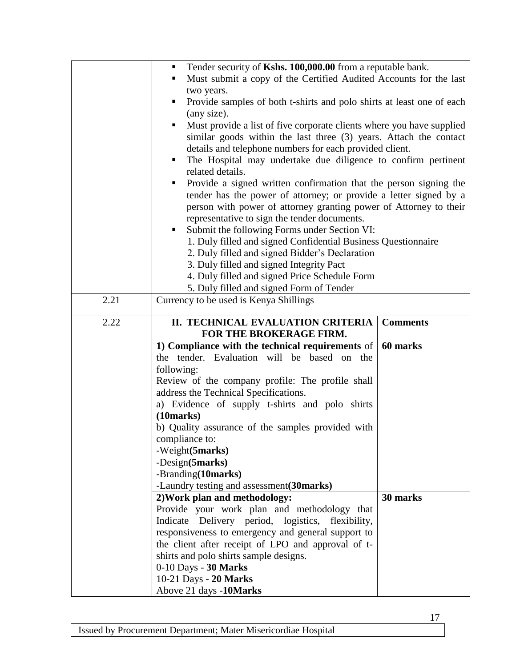|      | Tender security of Kshs. 100,000.00 from a reputable bank.<br>٠            |                 |  |
|------|----------------------------------------------------------------------------|-----------------|--|
|      | Must submit a copy of the Certified Audited Accounts for the last<br>ш     |                 |  |
|      | two years.                                                                 |                 |  |
|      | Provide samples of both t-shirts and polo shirts at least one of each      |                 |  |
|      | (any size).                                                                |                 |  |
|      | Must provide a list of five corporate clients where you have supplied<br>٠ |                 |  |
|      | similar goods within the last three (3) years. Attach the contact          |                 |  |
|      | details and telephone numbers for each provided client.                    |                 |  |
|      | The Hospital may undertake due diligence to confirm pertinent<br>٠         |                 |  |
|      | related details.                                                           |                 |  |
|      | Provide a signed written confirmation that the person signing the<br>ш     |                 |  |
|      | tender has the power of attorney; or provide a letter signed by a          |                 |  |
|      | person with power of attorney granting power of Attorney to their          |                 |  |
|      | representative to sign the tender documents.                               |                 |  |
|      | Submit the following Forms under Section VI:                               |                 |  |
|      | 1. Duly filled and signed Confidential Business Questionnaire              |                 |  |
|      | 2. Duly filled and signed Bidder's Declaration                             |                 |  |
|      | 3. Duly filled and signed Integrity Pact                                   |                 |  |
|      | 4. Duly filled and signed Price Schedule Form                              |                 |  |
|      | 5. Duly filled and signed Form of Tender                                   |                 |  |
| 2.21 | Currency to be used is Kenya Shillings                                     |                 |  |
|      |                                                                            |                 |  |
| 2.22 | II. TECHNICAL EVALUATION CRITERIA                                          | <b>Comments</b> |  |
|      | FOR THE BROKERAGE FIRM.                                                    |                 |  |
|      | 1) Compliance with the technical requirements of                           | 60 marks        |  |
|      | the tender. Evaluation will be based on the                                |                 |  |
|      | following:                                                                 |                 |  |
|      | Review of the company profile: The profile shall                           |                 |  |
|      | address the Technical Specifications.                                      |                 |  |
|      | a) Evidence of supply t-shirts and polo shirts                             |                 |  |
|      | (10 marks)                                                                 |                 |  |
|      | b) Quality assurance of the samples provided with                          |                 |  |
|      | compliance to:                                                             |                 |  |
|      | -Weight(5marks)                                                            |                 |  |
|      | -Design(5marks)                                                            |                 |  |
|      | -Branding(10marks)                                                         |                 |  |
|      | -Laundry testing and assessment(30marks)                                   |                 |  |
|      | 2) Work plan and methodology:                                              | 30 marks        |  |
|      | Provide your work plan and methodology that                                |                 |  |
|      | Indicate Delivery period, logistics, flexibility,                          |                 |  |
|      | responsiveness to emergency and general support to                         |                 |  |
|      | the client after receipt of LPO and approval of t-                         |                 |  |
|      | shirts and polo shirts sample designs.                                     |                 |  |
|      |                                                                            |                 |  |
|      | 0-10 Days - 30 Marks                                                       |                 |  |
|      | 10-21 Days - 20 Marks                                                      |                 |  |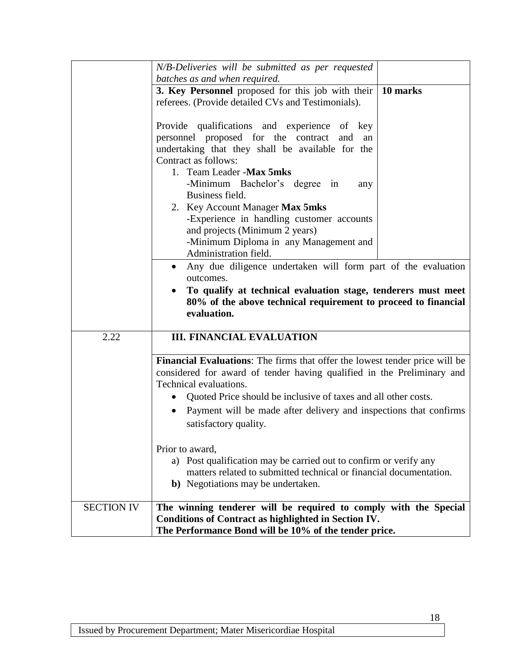|                   | N/B-Deliveries will be submitted as per requested                                  |  |  |
|-------------------|------------------------------------------------------------------------------------|--|--|
|                   | batches as and when required.                                                      |  |  |
|                   | 3. Key Personnel proposed for this job with their<br>10 marks                      |  |  |
|                   | referees. (Provide detailed CVs and Testimonials).                                 |  |  |
|                   |                                                                                    |  |  |
|                   | Provide qualifications and experience of key                                       |  |  |
|                   | personnel proposed for the contract<br>and<br>an                                   |  |  |
|                   | undertaking that they shall be available for the                                   |  |  |
|                   | Contract as follows:                                                               |  |  |
|                   | 1. Team Leader - Max 5mks                                                          |  |  |
|                   | -Minimum Bachelor's degree in<br>any                                               |  |  |
|                   | Business field.                                                                    |  |  |
|                   | 2. Key Account Manager Max 5mks<br>-Experience in handling customer accounts       |  |  |
|                   | and projects (Minimum 2 years)                                                     |  |  |
|                   | -Minimum Diploma in any Management and                                             |  |  |
|                   | Administration field.                                                              |  |  |
|                   | Any due diligence undertaken will form part of the evaluation                      |  |  |
|                   | outcomes.                                                                          |  |  |
|                   | To qualify at technical evaluation stage, tenderers must meet                      |  |  |
|                   | 80% of the above technical requirement to proceed to financial                     |  |  |
|                   | evaluation.                                                                        |  |  |
|                   |                                                                                    |  |  |
| 2.22              | <b>III. FINANCIAL EVALUATION</b>                                                   |  |  |
|                   |                                                                                    |  |  |
|                   | <b>Financial Evaluations:</b> The firms that offer the lowest tender price will be |  |  |
|                   | considered for award of tender having qualified in the Preliminary and             |  |  |
|                   | Technical evaluations.                                                             |  |  |
|                   | Quoted Price should be inclusive of taxes and all other costs.                     |  |  |
|                   | Payment will be made after delivery and inspections that confirms<br>$\bullet$     |  |  |
|                   | satisfactory quality.                                                              |  |  |
|                   |                                                                                    |  |  |
|                   | Prior to award,                                                                    |  |  |
|                   | a) Post qualification may be carried out to confirm or verify any                  |  |  |
|                   | matters related to submitted technical or financial documentation.                 |  |  |
|                   | <b>b</b> ) Negotiations may be undertaken.                                         |  |  |
| <b>SECTION IV</b> | The winning tenderer will be required to comply with the Special                   |  |  |
|                   | Conditions of Contract as highlighted in Section IV.                               |  |  |
|                   | The Performance Bond will be 10% of the tender price.                              |  |  |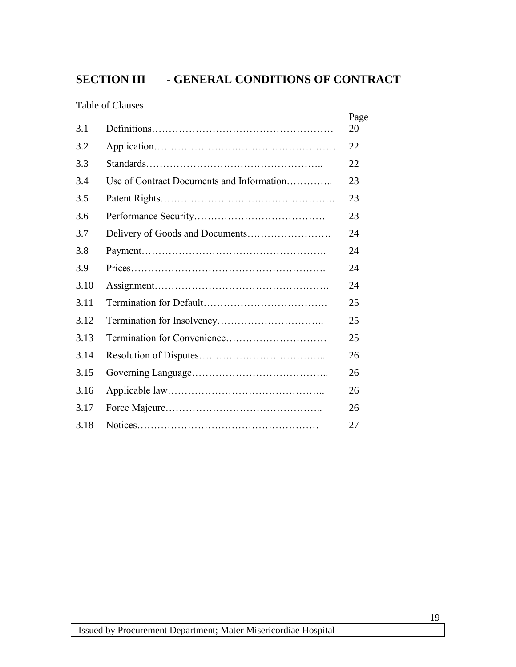# <span id="page-18-0"></span>**SECTION III - GENERAL CONDITIONS OF CONTRACT**

Table of Clauses

| 3.1  |                                           | Page<br>20 |
|------|-------------------------------------------|------------|
| 3.2  |                                           | 22         |
| 3.3  |                                           | 22         |
| 3.4  | Use of Contract Documents and Information | 23         |
| 3.5  |                                           | 23         |
| 3.6  |                                           | 23         |
| 3.7  |                                           | 24         |
| 3.8  |                                           | 24         |
| 3.9  |                                           | 24         |
| 3.10 |                                           | 24         |
| 3.11 |                                           | 25         |
| 3.12 |                                           | 25         |
| 3.13 |                                           | 25         |
| 3.14 |                                           | 26         |
| 3.15 |                                           | 26         |
| 3.16 |                                           | 26         |
| 3.17 |                                           | 26         |
| 3.18 |                                           | 27         |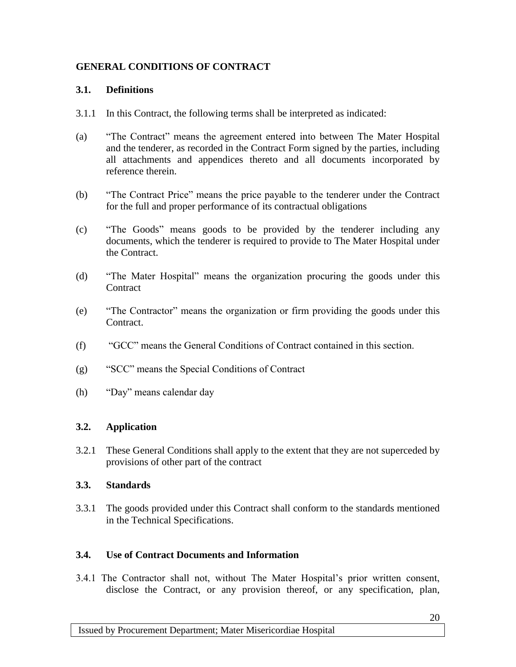### **GENERAL CONDITIONS OF CONTRACT**

### **3.1. Definitions**

- 3.1.1 In this Contract, the following terms shall be interpreted as indicated:
- (a) "The Contract" means the agreement entered into between The Mater Hospital and the tenderer, as recorded in the Contract Form signed by the parties, including all attachments and appendices thereto and all documents incorporated by reference therein.
- (b) "The Contract Price" means the price payable to the tenderer under the Contract for the full and proper performance of its contractual obligations
- (c) "The Goods" means goods to be provided by the tenderer including any documents, which the tenderer is required to provide to The Mater Hospital under the Contract.
- (d) "The Mater Hospital" means the organization procuring the goods under this **Contract**
- (e) "The Contractor" means the organization or firm providing the goods under this Contract.
- (f) "GCC" means the General Conditions of Contract contained in this section.
- (g) "SCC" means the Special Conditions of Contract
- (h) "Day" means calendar day

### **3.2. Application**

3.2.1 These General Conditions shall apply to the extent that they are not superceded by provisions of other part of the contract

### **3.3. Standards**

3.3.1 The goods provided under this Contract shall conform to the standards mentioned in the Technical Specifications.

### **3.4. Use of Contract Documents and Information**

3.4.1 The Contractor shall not, without The Mater Hospital's prior written consent, disclose the Contract, or any provision thereof, or any specification, plan,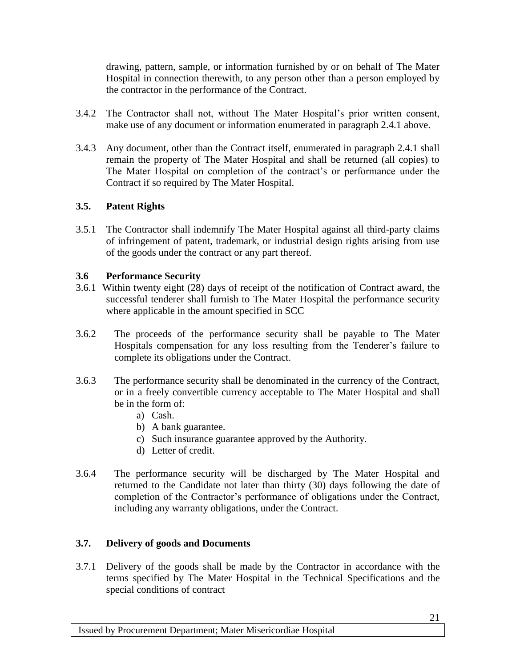drawing, pattern, sample, or information furnished by or on behalf of The Mater Hospital in connection therewith, to any person other than a person employed by the contractor in the performance of the Contract.

- 3.4.2 The Contractor shall not, without The Mater Hospital's prior written consent, make use of any document or information enumerated in paragraph 2.4.1 above.
- 3.4.3 Any document, other than the Contract itself, enumerated in paragraph 2.4.1 shall remain the property of The Mater Hospital and shall be returned (all copies) to The Mater Hospital on completion of the contract's or performance under the Contract if so required by The Mater Hospital.

### **3.5. Patent Rights**

3.5.1 The Contractor shall indemnify The Mater Hospital against all third-party claims of infringement of patent, trademark, or industrial design rights arising from use of the goods under the contract or any part thereof.

### **3.6 Performance Security**

- 3.6.1 Within twenty eight (28) days of receipt of the notification of Contract award, the successful tenderer shall furnish to The Mater Hospital the performance security where applicable in the amount specified in SCC
- 3.6.2 The proceeds of the performance security shall be payable to The Mater Hospitals compensation for any loss resulting from the Tenderer's failure to complete its obligations under the Contract.
- 3.6.3 The performance security shall be denominated in the currency of the Contract, or in a freely convertible currency acceptable to The Mater Hospital and shall be in the form of:
	- a) Cash.
	- b) A bank guarantee.
	- c) Such insurance guarantee approved by the Authority.
	- d) Letter of credit.
- 3.6.4 The performance security will be discharged by The Mater Hospital and returned to the Candidate not later than thirty (30) days following the date of completion of the Contractor's performance of obligations under the Contract, including any warranty obligations, under the Contract.

### **3.7. Delivery of goods and Documents**

3.7.1 Delivery of the goods shall be made by the Contractor in accordance with the terms specified by The Mater Hospital in the Technical Specifications and the special conditions of contract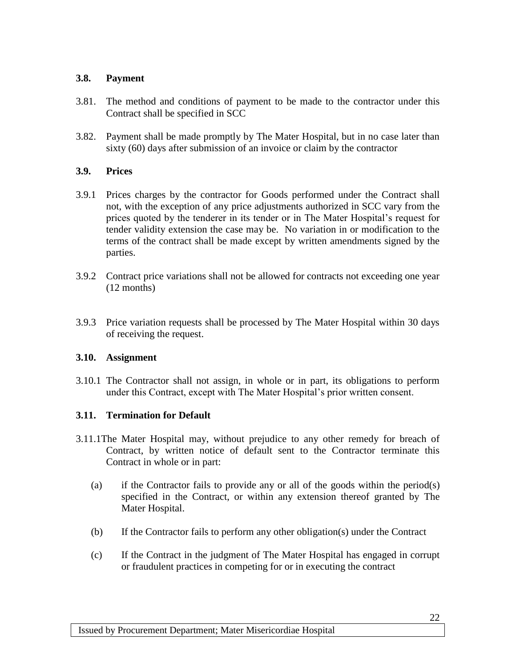### **3.8. Payment**

- 3.81. The method and conditions of payment to be made to the contractor under this Contract shall be specified in SCC
- 3.82. Payment shall be made promptly by The Mater Hospital, but in no case later than sixty (60) days after submission of an invoice or claim by the contractor

### **3.9. Prices**

- 3.9.1 Prices charges by the contractor for Goods performed under the Contract shall not, with the exception of any price adjustments authorized in SCC vary from the prices quoted by the tenderer in its tender or in The Mater Hospital's request for tender validity extension the case may be. No variation in or modification to the terms of the contract shall be made except by written amendments signed by the parties.
- 3.9.2 Contract price variations shall not be allowed for contracts not exceeding one year (12 months)
- 3.9.3 Price variation requests shall be processed by The Mater Hospital within 30 days of receiving the request.

### **3.10. Assignment**

3.10.1 The Contractor shall not assign, in whole or in part, its obligations to perform under this Contract, except with The Mater Hospital's prior written consent.

### **3.11. Termination for Default**

- 3.11.1The Mater Hospital may, without prejudice to any other remedy for breach of Contract, by written notice of default sent to the Contractor terminate this Contract in whole or in part:
	- (a) if the Contractor fails to provide any or all of the goods within the period(s) specified in the Contract, or within any extension thereof granted by The Mater Hospital.
	- (b) If the Contractor fails to perform any other obligation(s) under the Contract
	- (c) If the Contract in the judgment of The Mater Hospital has engaged in corrupt or fraudulent practices in competing for or in executing the contract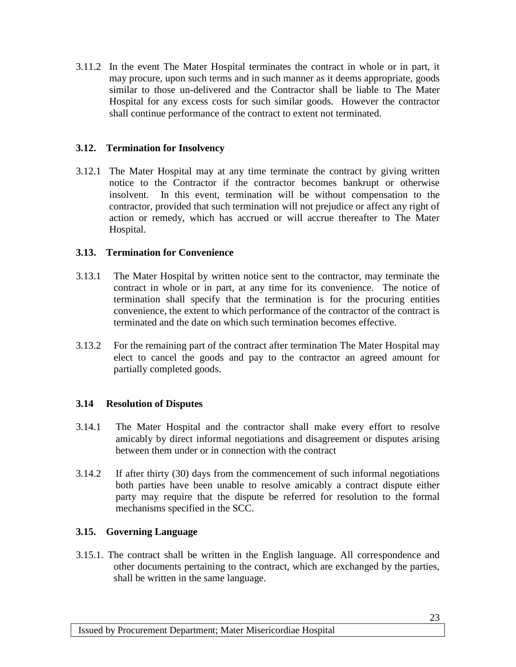3.11.2 In the event The Mater Hospital terminates the contract in whole or in part, it may procure, upon such terms and in such manner as it deems appropriate, goods similar to those un-delivered and the Contractor shall be liable to The Mater Hospital for any excess costs for such similar goods. However the contractor shall continue performance of the contract to extent not terminated.

### **3.12. Termination for Insolvency**

3.12.1 The Mater Hospital may at any time terminate the contract by giving written notice to the Contractor if the contractor becomes bankrupt or otherwise insolvent. In this event, termination will be without compensation to the contractor, provided that such termination will not prejudice or affect any right of action or remedy, which has accrued or will accrue thereafter to The Mater Hospital.

### **3.13. Termination for Convenience**

- 3.13.1 The Mater Hospital by written notice sent to the contractor, may terminate the contract in whole or in part, at any time for its convenience. The notice of termination shall specify that the termination is for the procuring entities convenience, the extent to which performance of the contractor of the contract is terminated and the date on which such termination becomes effective.
- 3.13.2 For the remaining part of the contract after termination The Mater Hospital may elect to cancel the goods and pay to the contractor an agreed amount for partially completed goods.

### **3.14 Resolution of Disputes**

- 3.14.1 The Mater Hospital and the contractor shall make every effort to resolve amicably by direct informal negotiations and disagreement or disputes arising between them under or in connection with the contract
- 3.14.2 If after thirty (30) days from the commencement of such informal negotiations both parties have been unable to resolve amicably a contract dispute either party may require that the dispute be referred for resolution to the formal mechanisms specified in the SCC.

### **3.15. Governing Language**

3.15.1. The contract shall be written in the English language. All correspondence and other documents pertaining to the contract, which are exchanged by the parties, shall be written in the same language.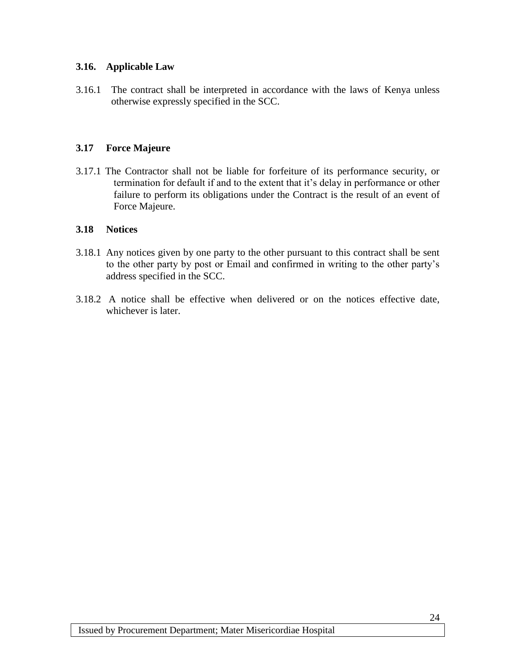### **3.16. Applicable Law**

3.16.1 The contract shall be interpreted in accordance with the laws of Kenya unless otherwise expressly specified in the SCC.

### **3.17 Force Majeure**

3.17.1 The Contractor shall not be liable for forfeiture of its performance security, or termination for default if and to the extent that it's delay in performance or other failure to perform its obligations under the Contract is the result of an event of Force Majeure.

### **3.18 Notices**

- 3.18.1 Any notices given by one party to the other pursuant to this contract shall be sent to the other party by post or Email and confirmed in writing to the other party's address specified in the SCC.
- 3.18.2 A notice shall be effective when delivered or on the notices effective date, whichever is later.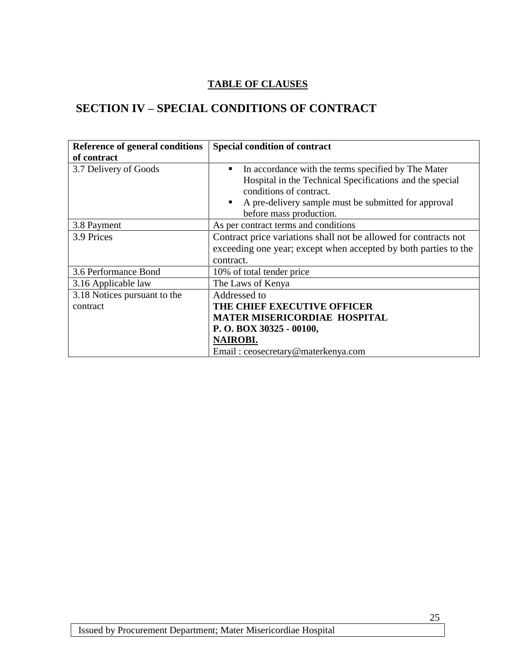### **TABLE OF CLAUSES**

# <span id="page-24-0"></span>**SECTION IV – SPECIAL CONDITIONS OF CONTRACT**

| Reference of general conditions | Special condition of contract                                    |  |
|---------------------------------|------------------------------------------------------------------|--|
| of contract                     |                                                                  |  |
| 3.7 Delivery of Goods           | In accordance with the terms specified by The Mater<br>п         |  |
|                                 | Hospital in the Technical Specifications and the special         |  |
|                                 | conditions of contract.                                          |  |
|                                 | A pre-delivery sample must be submitted for approval<br>٠        |  |
|                                 | before mass production.                                          |  |
| 3.8 Payment                     | As per contract terms and conditions                             |  |
| 3.9 Prices                      | Contract price variations shall not be allowed for contracts not |  |
|                                 | exceeding one year; except when accepted by both parties to the  |  |
|                                 | contract.                                                        |  |
| 3.6 Performance Bond            | 10% of total tender price                                        |  |
| 3.16 Applicable law             | The Laws of Kenya                                                |  |
| 3.18 Notices pursuant to the    | Addressed to                                                     |  |
| contract                        | THE CHIEF EXECUTIVE OFFICER                                      |  |
|                                 | <b>MATER MISERICORDIAE HOSPITAL</b>                              |  |
|                                 | P.O. BOX 30325 - 00100,                                          |  |
|                                 | <b>NAIROBI.</b>                                                  |  |
|                                 | Email: ceosecretary@materkenya.com                               |  |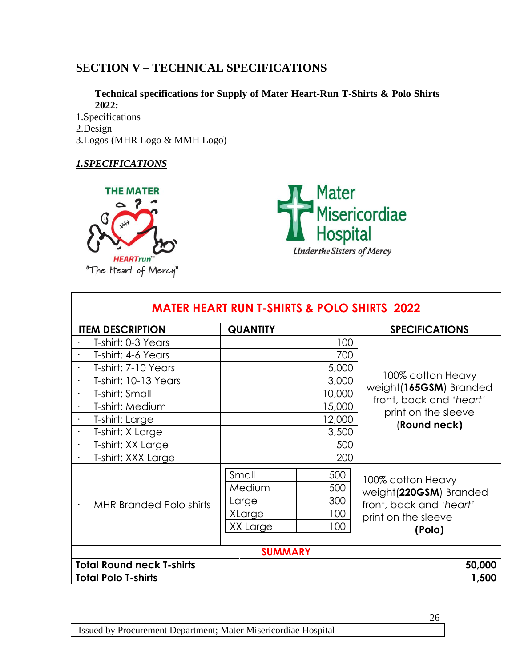# <span id="page-25-0"></span>**SECTION V – TECHNICAL SPECIFICATIONS**

**Technical specifications for Supply of Mater Heart-Run T-Shirts & Polo Shirts 2022:**

1.Specifications 2.Design 3.Logos (MHR Logo & MMH Logo)

### *1.SPECIFICATIONS*



Mater<br>Misericordiae<br>Hospital **Underthe Sisters of Mercy** 

| <b>MATER HEART RUN T-SHIRTS &amp; POLO SHIRTS 2022</b> |                 |        |                                                   |
|--------------------------------------------------------|-----------------|--------|---------------------------------------------------|
| <b>ITEM DESCRIPTION</b>                                | <b>QUANTITY</b> |        | <b>SPECIFICATIONS</b>                             |
| T-shirt: 0-3 Years                                     |                 | 100    |                                                   |
| T-shirt: 4-6 Years                                     |                 | 700    |                                                   |
| T-shirt: 7-10 Years                                    |                 | 5,000  |                                                   |
| T-shirt: 10-13 Years                                   |                 | 3,000  | 100% cotton Heavy                                 |
| T-shirt: Small                                         |                 | 10,000 | weight(165GSM) Branded<br>front, back and 'heart' |
| T-shirt: Medium                                        |                 | 15,000 | print on the sleeve                               |
| T-shirt: Large                                         |                 | 12,000 | (Round neck)                                      |
| T-shirt: X Large                                       |                 | 3,500  |                                                   |
| T-shirt: XX Large<br>$\bullet$                         |                 | 500    |                                                   |
| T-shirt: XXX Large                                     |                 | 200    |                                                   |
|                                                        | Small           | 500    | 100% cotton Heavy                                 |
|                                                        | Medium          | 500    | weight(220GSM) Branded                            |
| <b>MHR Branded Polo shirts</b>                         | Large           | 300    | front, back and 'heart'                           |
|                                                        | XLarge          | 100    | print on the sleeve                               |
|                                                        | XX Large        | 100    | (Polo)                                            |
|                                                        |                 |        |                                                   |
| <b>SUMMARY</b>                                         |                 |        |                                                   |
| <b>Total Round neck T-shirts</b>                       |                 |        | 50,000                                            |
| <b>Total Polo T-shirts</b>                             |                 |        | 1,500                                             |

26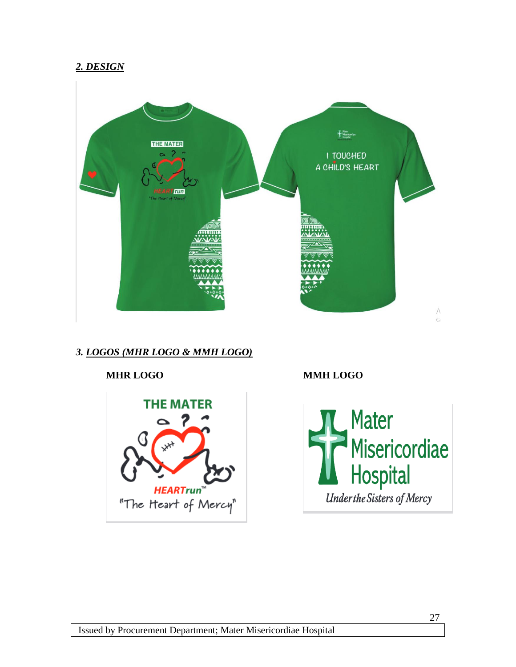### *2. DESIGN*



### *3. LOGOS (MHR LOGO & MMH LOGO)*

# **MHR LOGO MMH LOGOTHE MATER Mater** 2  $\sim$ Misericordiae<br>Hospital **HEARTrun**" **Underthe Sisters of Mercy** "The Heart of Mercy"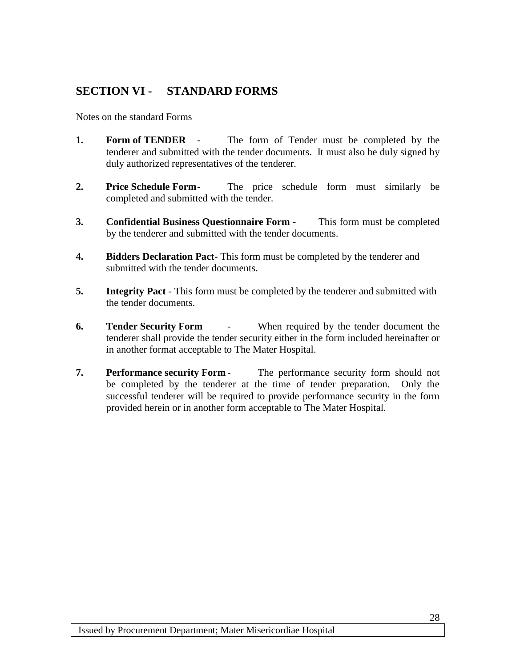## <span id="page-27-0"></span>**SECTION VI - STANDARD FORMS**

Notes on the standard Forms

- **1. Form of TENDER** The form of Tender must be completed by the tenderer and submitted with the tender documents. It must also be duly signed by duly authorized representatives of the tenderer.
- **2. Price Schedule Form** The price schedule form must similarly be completed and submitted with the tender.
- **3. Confidential Business Questionnaire Form** This form must be completed by the tenderer and submitted with the tender documents.
- **4. Bidders Declaration Pact-** This form must be completed by the tenderer and submitted with the tender documents.
- **5. Integrity Pact** This form must be completed by the tenderer and submitted with the tender documents.
- **6. Tender Security Form** When required by the tender document the tenderer shall provide the tender security either in the form included hereinafter or in another format acceptable to The Mater Hospital.
- **7. Performance security Form** The performance security form should not be completed by the tenderer at the time of tender preparation. Only the successful tenderer will be required to provide performance security in the form provided herein or in another form acceptable to The Mater Hospital.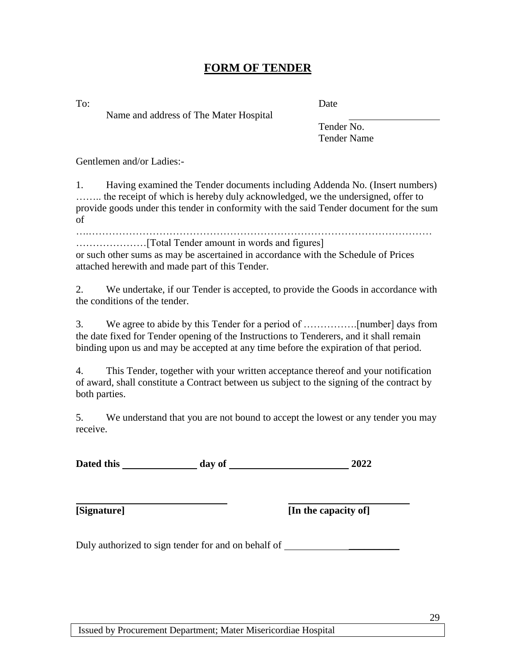## **FORM OF TENDER**

<span id="page-28-0"></span>

Name and address of The Mater Hospital

To: Date

Tender No. Tender Name

Gentlemen and/or Ladies:-

1. Having examined the Tender documents including Addenda No. (Insert numbers) …….. the receipt of which is hereby duly acknowledged, we the undersigned, offer to provide goods under this tender in conformity with the said Tender document for the sum of

….…………………………………………………………………………………………

…………………[Total Tender amount in words and figures] or such other sums as may be ascertained in accordance with the Schedule of Prices attached herewith and made part of this Tender.

2. We undertake, if our Tender is accepted, to provide the Goods in accordance with the conditions of the tender.

3. We agree to abide by this Tender for a period of …………….[number] days from the date fixed for Tender opening of the Instructions to Tenderers, and it shall remain binding upon us and may be accepted at any time before the expiration of that period.

4. This Tender, together with your written acceptance thereof and your notification of award, shall constitute a Contract between us subject to the signing of the contract by both parties.

5. We understand that you are not bound to accept the lowest or any tender you may receive.

Dated this day of 2022

**[Signature] [In the capacity of]**

Duly authorized to sign tender for and on behalf of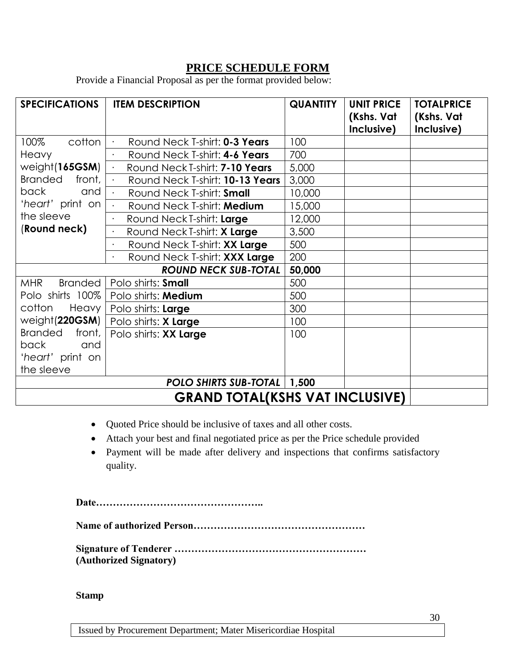## **PRICE SCHEDULE FORM**

<span id="page-29-0"></span>Provide a Financial Proposal as per the format provided below:

| <b>SPECIFICATIONS</b>                  | <b>ITEM DESCRIPTION</b>                            | <b>QUANTITY</b> | <b>UNIT PRICE</b><br>(Kshs. Vat<br>Inclusive) | <b>TOTALPRICE</b><br>(Kshs. Vat<br>Inclusive) |
|----------------------------------------|----------------------------------------------------|-----------------|-----------------------------------------------|-----------------------------------------------|
| 100%<br>cotton                         | Round Neck T-shirt: 0-3 Years                      | 100             |                                               |                                               |
| Heavy                                  | Round Neck T-shirt: 4-6 Years                      | 700             |                                               |                                               |
| weight(165GSM)                         | Round Neck T-shirt: 7-10 Years<br>$\bullet$        | 5,000           |                                               |                                               |
| <b>Branded</b><br>front,               | Round Neck T-shirt: 10-13 Years<br>$\bullet$       | 3,000           |                                               |                                               |
| back<br>and                            | Round Neck T-shirt: Small<br>$\bullet$             | 10,000          |                                               |                                               |
| 'heart' print on                       | Round Neck T-shirt: Medium<br>$\ddot{\phantom{a}}$ | 15,000          |                                               |                                               |
| the sleeve                             | Round Neck T-shirt: Large                          | 12,000          |                                               |                                               |
| (Round neck)                           | Round Neck T-shirt: X Large                        | 3,500           |                                               |                                               |
|                                        | Round Neck T-shirt: XX Large                       | 500             |                                               |                                               |
|                                        | Round Neck T-shirt: XXX Large                      | 200             |                                               |                                               |
|                                        | <b>ROUND NECK SUB-TOTAL</b>                        | 50,000          |                                               |                                               |
| MHR<br><b>Branded</b>                  | Polo shirts: Small                                 | 500             |                                               |                                               |
| Polo shirts 100%                       | Polo shirts: Medium                                | 500             |                                               |                                               |
| cotton<br>Heavy                        | Polo shirts: Large                                 | 300             |                                               |                                               |
| weight(220GSM)                         | Polo shirts: X Large                               | 100             |                                               |                                               |
| <b>Branded</b><br>front,               | Polo shirts: XX Large                              | 100             |                                               |                                               |
| back<br>and                            |                                                    |                 |                                               |                                               |
| 'heart' print on                       |                                                    |                 |                                               |                                               |
| the sleeve                             |                                                    |                 |                                               |                                               |
| POLO SHIRTS SUB-TOTAL   1,500          |                                                    |                 |                                               |                                               |
| <b>GRAND TOTAL(KSHS VAT INCLUSIVE)</b> |                                                    |                 |                                               |                                               |

- Quoted Price should be inclusive of taxes and all other costs.
- Attach your best and final negotiated price as per the Price schedule provided
- Payment will be made after delivery and inspections that confirms satisfactory quality.

**Date…………………………………………..** 

**Name of authorized Person……………………………………………**

**Signature of Tenderer ………………………………………………… (Authorized Signatory)**

**Stamp**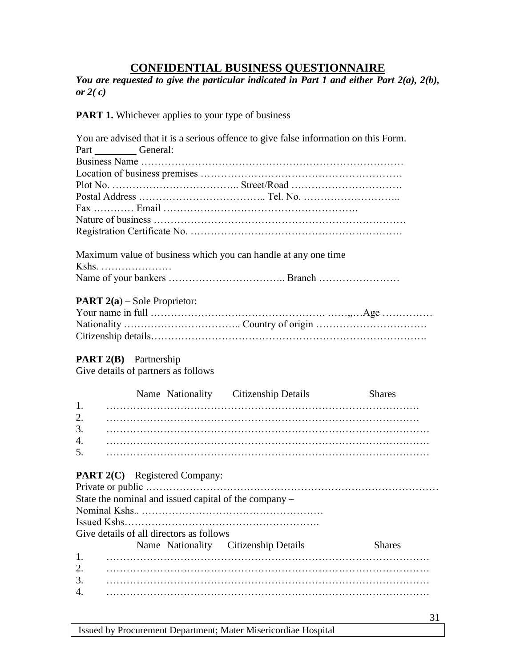### **CONFIDENTIAL BUSINESS QUESTIONNAIRE**

<span id="page-30-0"></span>*You are requested to give the particular indicated in Part 1 and either Part 2(a), 2(b), or 2( c)*

You are advised that it is a serious offence to give false information on this Form.

**PART 1.** Whichever applies to your type of business

|          | Part General:                                                           |                                      |               |
|----------|-------------------------------------------------------------------------|--------------------------------------|---------------|
|          |                                                                         |                                      |               |
|          |                                                                         |                                      |               |
|          |                                                                         |                                      |               |
|          |                                                                         |                                      |               |
|          |                                                                         |                                      |               |
|          |                                                                         |                                      |               |
|          |                                                                         |                                      |               |
|          | Maximum value of business which you can handle at any one time<br>Kshs. |                                      |               |
|          |                                                                         |                                      |               |
|          | PART 2(a) – Sole Proprietor:                                            |                                      |               |
|          |                                                                         |                                      |               |
|          |                                                                         |                                      |               |
|          |                                                                         |                                      |               |
|          | <b>PART</b> $2(B)$ – Partnership<br>Give details of partners as follows |                                      |               |
|          |                                                                         | Name Nationality Citizenship Details | <b>Shares</b> |
| 1.       |                                                                         |                                      |               |
| 2.       |                                                                         |                                      |               |
| 3.       |                                                                         |                                      |               |
| 4.       |                                                                         |                                      |               |
| 5.       |                                                                         |                                      |               |
|          | <b>PART 2(C)</b> – Registered Company:                                  |                                      |               |
|          |                                                                         |                                      |               |
|          | State the nominal and issued capital of the company -                   |                                      |               |
|          |                                                                         |                                      |               |
|          |                                                                         |                                      |               |
|          | Give details of all directors as follows                                |                                      |               |
|          | Name Nationality Citizenship Details                                    |                                      | <b>Shares</b> |
| 1.       |                                                                         |                                      |               |
| 2.<br>3. |                                                                         |                                      |               |
| 4.       |                                                                         |                                      |               |
|          |                                                                         |                                      |               |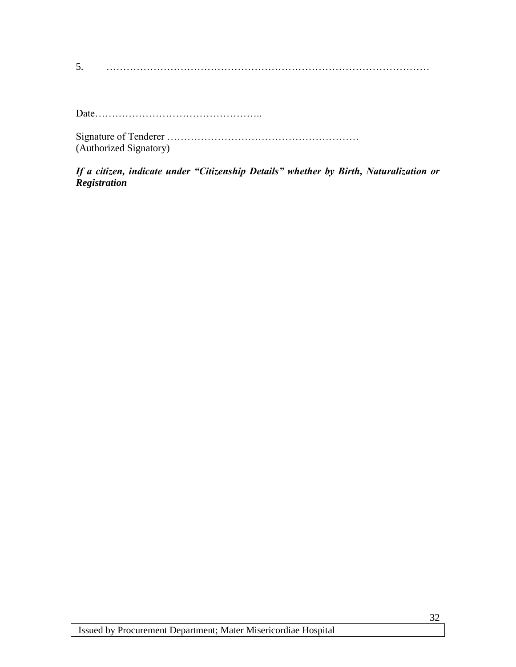5. ……………………………………………………………………………………

Date…………………………………………..

Signature of Tenderer ………………………………………………… (Authorized Signatory)

*If a citizen, indicate under "Citizenship Details" whether by Birth, Naturalization or Registration*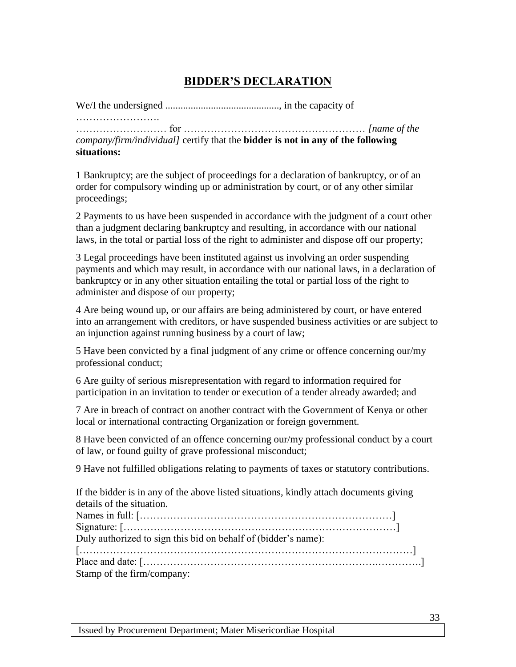# **BIDDER'S DECLARATION**

<span id="page-32-0"></span>We/I the undersigned ............................................., in the capacity of

…………………………

……………………… for ……………………………………………… *[name of the company/firm/individual]* certify that the **bidder is not in any of the following situations:** 

1 Bankruptcy; are the subject of proceedings for a declaration of bankruptcy, or of an order for compulsory winding up or administration by court, or of any other similar proceedings;

2 Payments to us have been suspended in accordance with the judgment of a court other than a judgment declaring bankruptcy and resulting, in accordance with our national laws, in the total or partial loss of the right to administer and dispose off our property;

3 Legal proceedings have been instituted against us involving an order suspending payments and which may result, in accordance with our national laws, in a declaration of bankruptcy or in any other situation entailing the total or partial loss of the right to administer and dispose of our property;

4 Are being wound up, or our affairs are being administered by court, or have entered into an arrangement with creditors, or have suspended business activities or are subject to an injunction against running business by a court of law;

5 Have been convicted by a final judgment of any crime or offence concerning our/my professional conduct;

6 Are guilty of serious misrepresentation with regard to information required for participation in an invitation to tender or execution of a tender already awarded; and

7 Are in breach of contract on another contract with the Government of Kenya or other local or international contracting Organization or foreign government.

8 Have been convicted of an offence concerning our/my professional conduct by a court of law, or found guilty of grave professional misconduct;

9 Have not fulfilled obligations relating to payments of taxes or statutory contributions.

If the bidder is in any of the above listed situations, kindly attach documents giving details of the situation.

| Duly authorized to sign this bid on behalf of (bidder's name): |
|----------------------------------------------------------------|
|                                                                |
|                                                                |
| Stamp of the firm/company:                                     |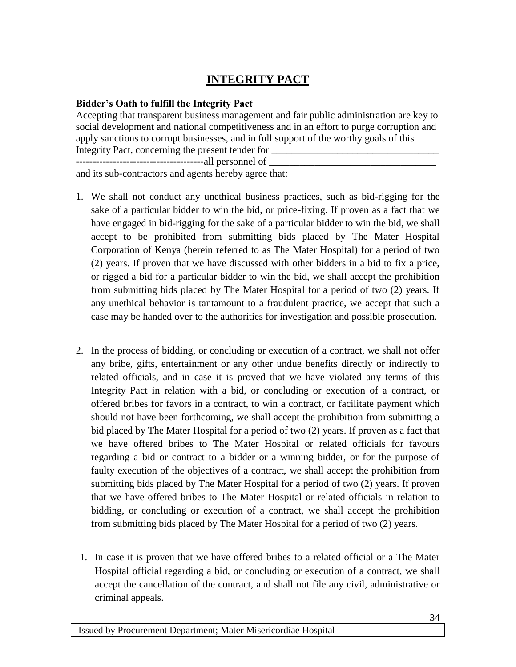# **INTEGRITY PACT**

### <span id="page-33-0"></span>**Bidder's Oath to fulfill the Integrity Pact**

Accepting that transparent business management and fair public administration are key to social development and national competitiveness and in an effort to purge corruption and apply sanctions to corrupt businesses, and in full support of the worthy goals of this Integrity Pact, concerning the present tender for --------------------------------------all personnel of \_\_\_\_\_\_\_\_\_\_\_\_\_\_\_\_\_\_\_\_\_\_\_\_\_\_\_\_\_\_\_\_\_ and its sub-contractors and agents hereby agree that:

- 1. We shall not conduct any unethical business practices, such as bid-rigging for the sake of a particular bidder to win the bid, or price-fixing. If proven as a fact that we have engaged in bid-rigging for the sake of a particular bidder to win the bid, we shall accept to be prohibited from submitting bids placed by The Mater Hospital Corporation of Kenya (herein referred to as The Mater Hospital) for a period of two (2) years. If proven that we have discussed with other bidders in a bid to fix a price, or rigged a bid for a particular bidder to win the bid, we shall accept the prohibition from submitting bids placed by The Mater Hospital for a period of two (2) years. If any unethical behavior is tantamount to a fraudulent practice, we accept that such a case may be handed over to the authorities for investigation and possible prosecution.
- 2. In the process of bidding, or concluding or execution of a contract, we shall not offer any bribe, gifts, entertainment or any other undue benefits directly or indirectly to related officials, and in case it is proved that we have violated any terms of this Integrity Pact in relation with a bid, or concluding or execution of a contract, or offered bribes for favors in a contract, to win a contract, or facilitate payment which should not have been forthcoming, we shall accept the prohibition from submitting a bid placed by The Mater Hospital for a period of two (2) years. If proven as a fact that we have offered bribes to The Mater Hospital or related officials for favours regarding a bid or contract to a bidder or a winning bidder, or for the purpose of faulty execution of the objectives of a contract, we shall accept the prohibition from submitting bids placed by The Mater Hospital for a period of two (2) years. If proven that we have offered bribes to The Mater Hospital or related officials in relation to bidding, or concluding or execution of a contract, we shall accept the prohibition from submitting bids placed by The Mater Hospital for a period of two (2) years.
- 1. In case it is proven that we have offered bribes to a related official or a The Mater Hospital official regarding a bid, or concluding or execution of a contract, we shall accept the cancellation of the contract, and shall not file any civil, administrative or criminal appeals.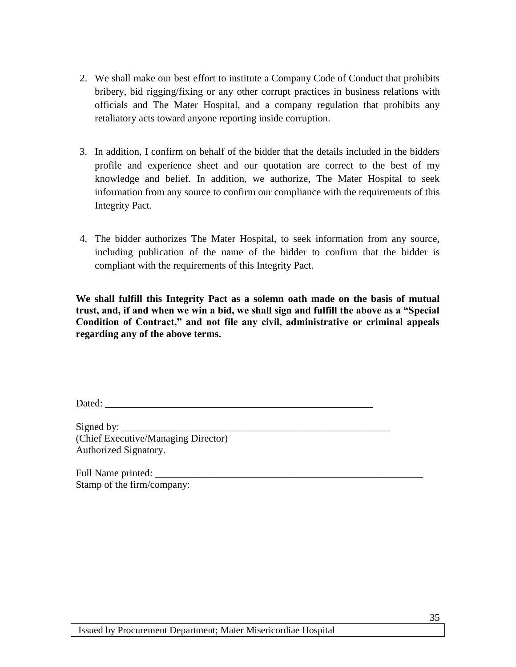- 2. We shall make our best effort to institute a Company Code of Conduct that prohibits bribery, bid rigging/fixing or any other corrupt practices in business relations with officials and The Mater Hospital, and a company regulation that prohibits any retaliatory acts toward anyone reporting inside corruption.
- 3. In addition, I confirm on behalf of the bidder that the details included in the bidders profile and experience sheet and our quotation are correct to the best of my knowledge and belief. In addition, we authorize, The Mater Hospital to seek information from any source to confirm our compliance with the requirements of this Integrity Pact.
- 4. The bidder authorizes The Mater Hospital, to seek information from any source, including publication of the name of the bidder to confirm that the bidder is compliant with the requirements of this Integrity Pact.

**We shall fulfill this Integrity Pact as a solemn oath made on the basis of mutual trust, and, if and when we win a bid, we shall sign and fulfill the above as a "Special Condition of Contract," and not file any civil, administrative or criminal appeals regarding any of the above terms.** 

Dated:

Signed by: (Chief Executive/Managing Director) Authorized Signatory.

Full Name printed: Stamp of the firm/company: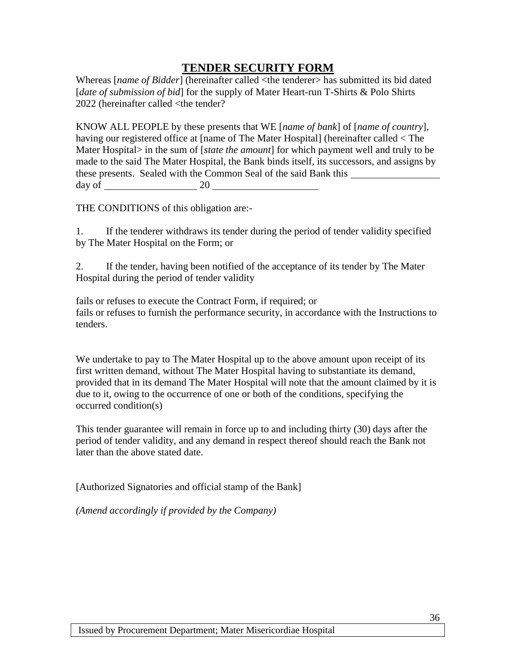### **TENDER SECURITY FORM**

<span id="page-35-0"></span>Whereas [*name of Bidder*] (hereinafter called <the tenderer> has submitted its bid dated [*date of submission of bid*] for the supply of Mater Heart-run T-Shirts & Polo Shirts 2022 (hereinafter called <the tender?

KNOW ALL PEOPLE by these presents that WE [*name of bank*] of [*name of country*], having our registered office at [name of The Mater Hospital] (hereinafter called < The Mater Hospital> in the sum of [*state the amount*] for which payment well and truly to be made to the said The Mater Hospital, the Bank binds itself, its successors, and assigns by these presents. Sealed with the Common Seal of the said Bank this day of  $\_\_\_\_\_\_$  20  $\_\_\_\_\_\$ 

THE CONDITIONS of this obligation are:-

1. If the tenderer withdraws its tender during the period of tender validity specified by The Mater Hospital on the Form; or

2. If the tender, having been notified of the acceptance of its tender by The Mater Hospital during the period of tender validity

fails or refuses to execute the Contract Form, if required; or fails or refuses to furnish the performance security, in accordance with the Instructions to tenders.

We undertake to pay to The Mater Hospital up to the above amount upon receipt of its first written demand, without The Mater Hospital having to substantiate its demand, provided that in its demand The Mater Hospital will note that the amount claimed by it is due to it, owing to the occurrence of one or both of the conditions, specifying the occurred condition(s)

This tender guarantee will remain in force up to and including thirty (30) days after the period of tender validity, and any demand in respect thereof should reach the Bank not later than the above stated date.

[Authorized Signatories and official stamp of the Bank]

*(Amend accordingly if provided by the Company)*